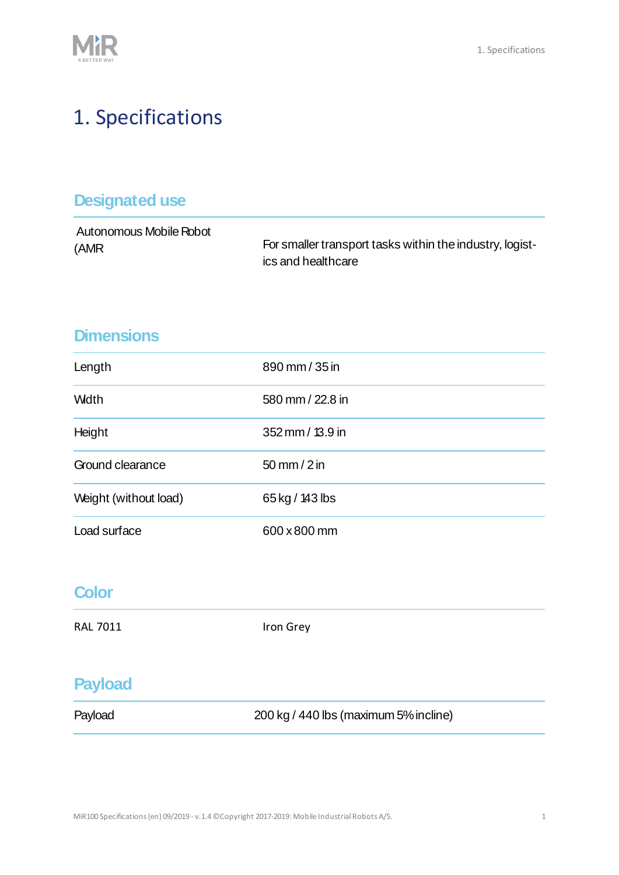

# 1. Specifications

#### **Designated use**

| Autonomous Mobile Robot |                                                          |
|-------------------------|----------------------------------------------------------|
| (AMR                    | For smaller transport tasks within the industry, logist- |
|                         | ics and healthcare                                       |

#### **Dimensions**

| Length                | 890 mm / 35 in   |
|-----------------------|------------------|
| <b>Wdth</b>           | 580 mm / 22.8 in |
| Height                | 352 mm / 13.9 in |
| Ground clearance      | $50$ mm $/$ 2 in |
| Weight (without load) | 65 kg / 143 lbs  |
| Load surface          | 600 x 800 mm     |

#### **Color**

RAL 7011 **Iron Grey** 

# **Payload**

| Payload |
|---------|
|---------|

200 kg / 440 lbs (maximum 5% incline)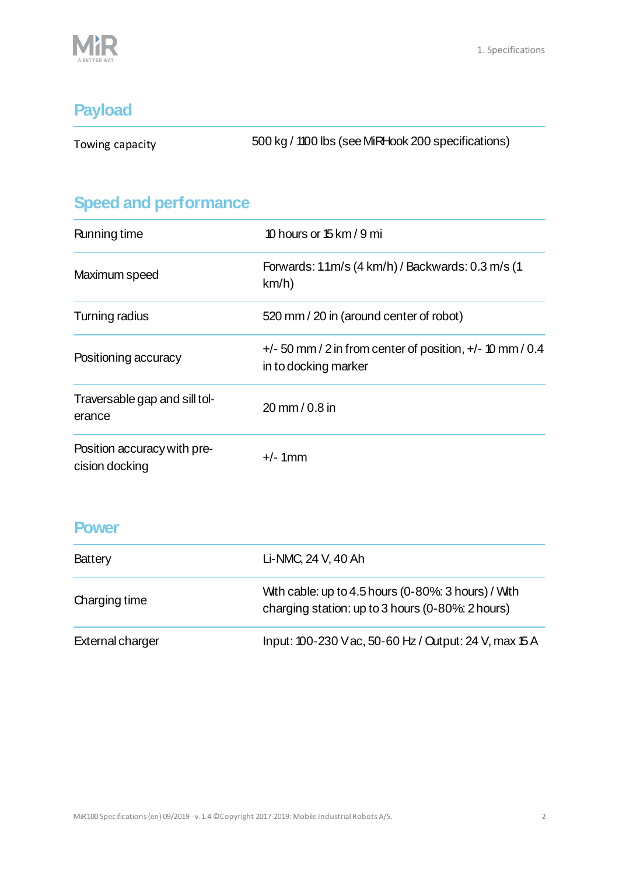

### **Payload**

Towing capacity 500 kg / 1100 lbs (seeMiRHook 200 specifications)

## **Speed and performance**

| Running time                                  | 10 hours or 15 km / 9 mi                                                              |
|-----------------------------------------------|---------------------------------------------------------------------------------------|
| Maximum speed                                 | Forwards: 1.1m/s (4 km/h) / Backwards: 0.3 m/s (1<br>km/h)                            |
| Turning radius                                | 520 mm / 20 in (around center of robot)                                               |
| Positioning accuracy                          | $+/-$ 50 mm / 2 in from center of position, $+/-$ 10 mm / 0.4<br>in to docking marker |
| Traversable gap and sill tol-<br>erance       | $20 \, \text{mm} / 0.8 \, \text{in}$                                                  |
| Position accuracy with pre-<br>cision docking | $+/-$ 1mm                                                                             |

#### **Power**

| <b>Battery</b>   | Li-NMC, 24 V, 40 Ah                                                                                     |
|------------------|---------------------------------------------------------------------------------------------------------|
| Charging time    | With cable: up to 4.5 hours (0-80%: 3 hours) / With<br>charging station: up to 3 hours (0-80%: 2 hours) |
| External charger | Input: 100-230 Vac, 50-60 Hz / Output: 24 V, max 15 A                                                   |